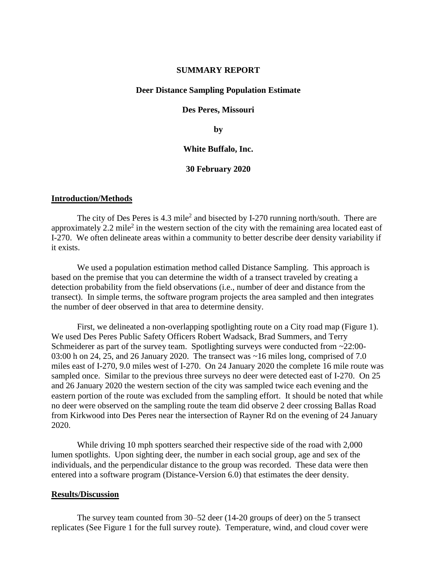## **SUMMARY REPORT**

## **Deer Distance Sampling Population Estimate**

#### **Des Peres, Missouri**

**by**

## **White Buffalo, Inc.**

#### **30 February 2020**

### **Introduction/Methods**

The city of Des Peres is  $4.3$  mile<sup>2</sup> and bisected by I-270 running north/south. There are approximately 2.2 mile<sup>2</sup> in the western section of the city with the remaining area located east of I-270. We often delineate areas within a community to better describe deer density variability if it exists.

We used a population estimation method called Distance Sampling. This approach is based on the premise that you can determine the width of a transect traveled by creating a detection probability from the field observations (i.e., number of deer and distance from the transect). In simple terms, the software program projects the area sampled and then integrates the number of deer observed in that area to determine density.

First, we delineated a non-overlapping spotlighting route on a City road map (Figure 1). We used Des Peres Public Safety Officers Robert Wadsack, Brad Summers, and Terry Schmeiderer as part of the survey team. Spotlighting surveys were conducted from ~22:00-03:00 h on 24, 25, and 26 January 2020. The transect was ~16 miles long, comprised of 7.0 miles east of I-270, 9.0 miles west of I-270. On 24 January 2020 the complete 16 mile route was sampled once. Similar to the previous three surveys no deer were detected east of I-270. On 25 and 26 January 2020 the western section of the city was sampled twice each evening and the eastern portion of the route was excluded from the sampling effort. It should be noted that while no deer were observed on the sampling route the team did observe 2 deer crossing Ballas Road from Kirkwood into Des Peres near the intersection of Rayner Rd on the evening of 24 January 2020.

While driving 10 mph spotters searched their respective side of the road with 2,000 lumen spotlights. Upon sighting deer, the number in each social group, age and sex of the individuals, and the perpendicular distance to the group was recorded. These data were then entered into a software program (Distance-Version 6.0) that estimates the deer density.

## **Results/Discussion**

The survey team counted from 30–52 deer (14-20 groups of deer) on the 5 transect replicates (See Figure 1 for the full survey route). Temperature, wind, and cloud cover were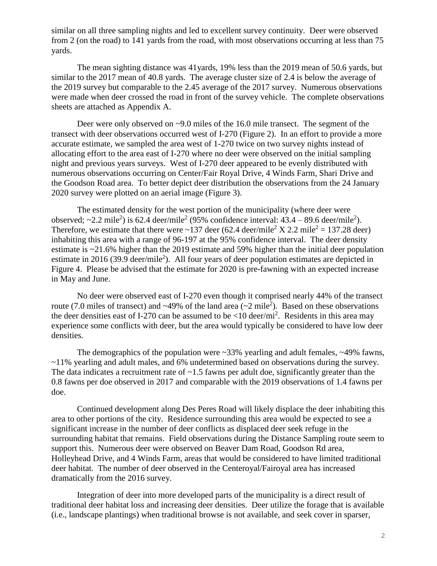similar on all three sampling nights and led to excellent survey continuity. Deer were observed from 2 (on the road) to 141 yards from the road, with most observations occurring at less than 75 yards.

The mean sighting distance was 41yards, 19% less than the 2019 mean of 50.6 yards, but similar to the 2017 mean of 40.8 yards. The average cluster size of 2.4 is below the average of the 2019 survey but comparable to the 2.45 average of the 2017 survey. Numerous observations were made when deer crossed the road in front of the survey vehicle. The complete observations sheets are attached as Appendix A.

Deer were only observed on ~9.0 miles of the 16.0 mile transect. The segment of the transect with deer observations occurred west of I-270 (Figure 2). In an effort to provide a more accurate estimate, we sampled the area west of 1-270 twice on two survey nights instead of allocating effort to the area east of I-270 where no deer were observed on the initial sampling night and previous years surveys. West of I-270 deer appeared to be evenly distributed with numerous observations occurring on Center/Fair Royal Drive, 4 Winds Farm, Shari Drive and the Goodson Road area. To better depict deer distribution the observations from the 24 January 2020 survey were plotted on an aerial image (Figure 3).

The estimated density for the west portion of the municipality (where deer were observed;  $\sim$ 2.2 mile<sup>2</sup>) is 62.4 deer/mile<sup>2</sup> (95% confidence interval: 43.4 – 89.6 deer/mile<sup>2</sup>). Therefore, we estimate that there were ~137 deer (62.4 deer/mile<sup>2</sup> X 2.2 mile<sup>2</sup> = 137.28 deer) inhabiting this area with a range of 96-197 at the 95% confidence interval. The deer density estimate is ~21.6% higher than the 2019 estimate and 59% higher than the initial deer population estimate in 2016 (39.9 deer/mile<sup>2</sup>). All four years of deer population estimates are depicted in Figure 4. Please be advised that the estimate for 2020 is pre-fawning with an expected increase in May and June.

No deer were observed east of I-270 even though it comprised nearly 44% of the transect route (7.0 miles of transect) and  $\sim$ 49% of the land area ( $\sim$ 2 mile<sup>2</sup>). Based on these observations the deer densities east of I-270 can be assumed to be  $\langle 10 \text{ deer/mi}^2 \rangle$ . Residents in this area may experience some conflicts with deer, but the area would typically be considered to have low deer densities.

The demographics of the population were  $\sim$ 33% yearling and adult females,  $\sim$ 49% fawns, ~11% yearling and adult males, and 6% undetermined based on observations during the survey. The data indicates a recruitment rate of  $\sim$ 1.5 fawns per adult doe, significantly greater than the 0.8 fawns per doe observed in 2017 and comparable with the 2019 observations of 1.4 fawns per doe.

Continued development along Des Peres Road will likely displace the deer inhabiting this area to other portions of the city. Residence surrounding this area would be expected to see a significant increase in the number of deer conflicts as displaced deer seek refuge in the surrounding habitat that remains. Field observations during the Distance Sampling route seem to support this. Numerous deer were observed on Beaver Dam Road, Goodson Rd area, Holleyhead Drive, and 4 Winds Farm, areas that would be considered to have limited traditional deer habitat. The number of deer observed in the Centeroyal/Fairoyal area has increased dramatically from the 2016 survey.

Integration of deer into more developed parts of the municipality is a direct result of traditional deer habitat loss and increasing deer densities. Deer utilize the forage that is available (i.e., landscape plantings) when traditional browse is not available, and seek cover in sparser,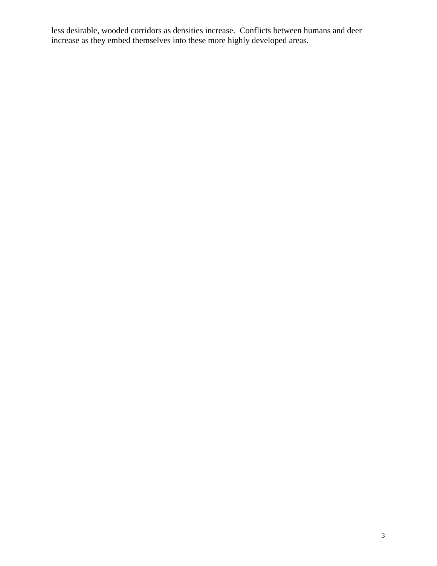less desirable, wooded corridors as densities increase. Conflicts between humans and deer increase as they embed themselves into these more highly developed areas.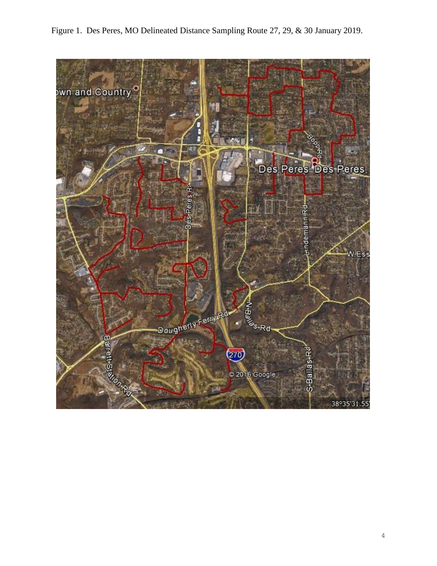

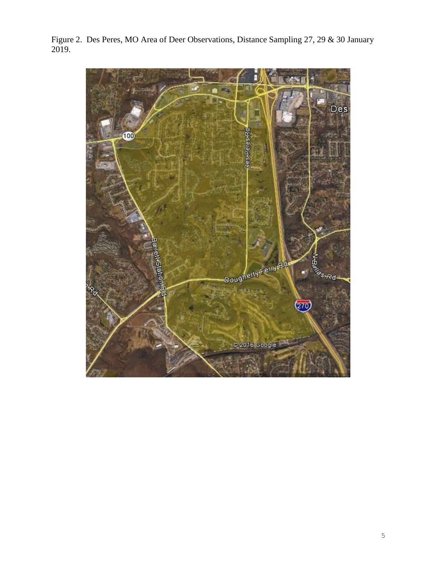**Des** 100 Dougherty Fermark &s-Rd- $(270)$ @2016 Google

Figure 2. Des Peres, MO Area of Deer Observations, Distance Sampling 27, 29 & 30 January 2019.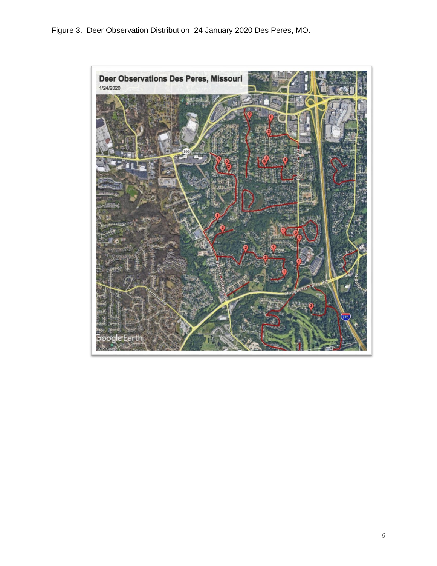Figure 3. Deer Observation Distribution 24 January 2020 Des Peres, MO.

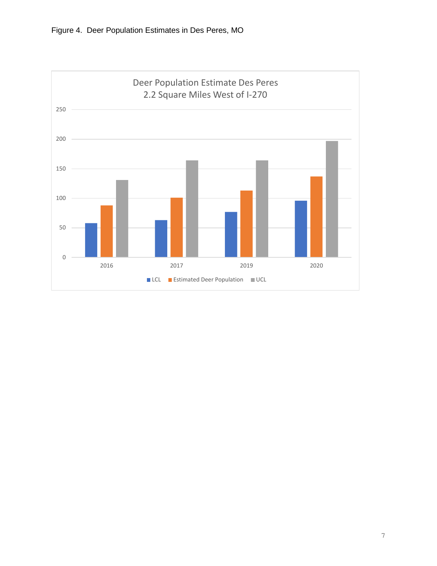

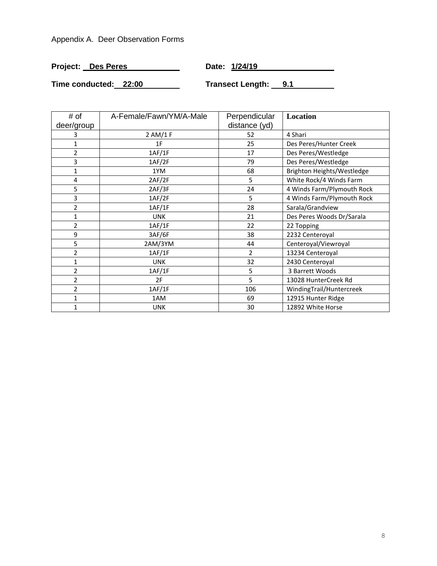# Appendix A. Deer Observation Forms

| Project: Des Peres | Date: 1/24/19 |
|--------------------|---------------|
|                    |               |

**Time conducted:** 22:00 **Transect Length:** 9.1

| # of           | A-Female/Fawn/YM/A-Male | Perpendicular  | <b>Location</b>            |
|----------------|-------------------------|----------------|----------------------------|
| deer/group     |                         | distance (yd)  |                            |
| 3              | 2 AM/1 F                | 52             | 4 Shari                    |
| 1              | 1F                      | 25             | Des Peres/Hunter Creek     |
| 2              | 1AF/1F                  | 17             | Des Peres/Westledge        |
| 3              | 1AF/2F                  | 79             | Des Peres/Westledge        |
| 1              | 1YM                     | 68             | Brighton Heights/Westledge |
| 4              | 2AF/2F                  | 5              | White Rock/4 Winds Farm    |
| 5              | 2AF/3F                  | 24             | 4 Winds Farm/Plymouth Rock |
| 3              | 1AF/2F                  | 5              | 4 Winds Farm/Plymouth Rock |
| 2              | 1AF/1F                  | 28             | Sarala/Grandview           |
| 1              | <b>UNK</b>              | 21             | Des Peres Woods Dr/Sarala  |
| 2              | 1AF/1F                  | 22             | 22 Topping                 |
| 9              | 3AF/6F                  | 38             | 2232 Centeroyal            |
| 5              | 2AM/3YM                 | 44             | Centeroyal/Viewroyal       |
| 2              | 1AF/1F                  | $\overline{2}$ | 13234 Centeroyal           |
| 1              | <b>UNK</b>              | 32             | 2430 Centeroyal            |
| $\overline{2}$ | 1AF/1F                  | 5              | 3 Barrett Woods            |
| 2              | 2F                      | 5              | 13028 HunterCreek Rd       |
| $\overline{2}$ | 1AF/1F                  | 106            | WindingTrail/Huntercreek   |
| 1              | 1AM                     | 69             | 12915 Hunter Ridge         |
| 1              | <b>UNK</b>              | 30             | 12892 White Horse          |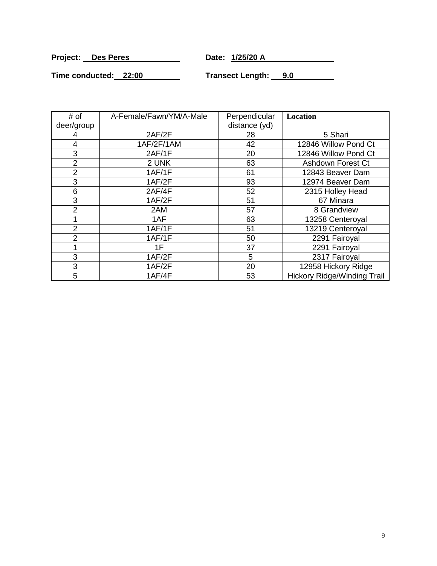**Project:** Des Peres Date: 1/25/20 A

<u> 1988 - Johann Stoff, deutscher Stoff, der Stoff, der Stoff, der Stoff, der Stoff, der Stoff, der Stoff, der S</u>

Time conducted: 22:00 Transect Length: 9.0

| # of           | A-Female/Fawn/YM/A-Male | Perpendicular | Location                           |
|----------------|-------------------------|---------------|------------------------------------|
| deer/group     |                         | distance (yd) |                                    |
| 4              | 2AF/2F                  | 28            | 5 Shari                            |
| 4              | 1AF/2F/1AM              | 42            | 12846 Willow Pond Ct               |
| 3              | 2AF/1F                  | 20            | 12846 Willow Pond Ct               |
| $\overline{2}$ | 2 UNK                   | 63            | Ashdown Forest Ct                  |
| 2              | 1AF/1F                  | 61            | 12843 Beaver Dam                   |
| 3              | 1AF/2F                  | 93            | 12974 Beaver Dam                   |
| 6              | 2AF/4F                  | 52            | 2315 Holley Head                   |
| 3              | 1AF/2F                  | 51            | 67 Minara                          |
| 2              | 2AM                     | 57            | 8 Grandview                        |
|                | 1AF                     | 63            | 13258 Centeroyal                   |
| $\overline{2}$ | 1AF/1F                  | 51            | 13219 Centeroyal                   |
| 2              | 1AF/1F                  | 50            | 2291 Fairoyal                      |
|                | 1F                      | 37            | 2291 Fairoyal                      |
| 3              | 1AF/2F                  | 5             | 2317 Fairoyal                      |
| 3              | 1AF/2F                  | 20            | 12958 Hickory Ridge                |
| 5              | 1AF/4F                  | 53            | <b>Hickory Ridge/Winding Trail</b> |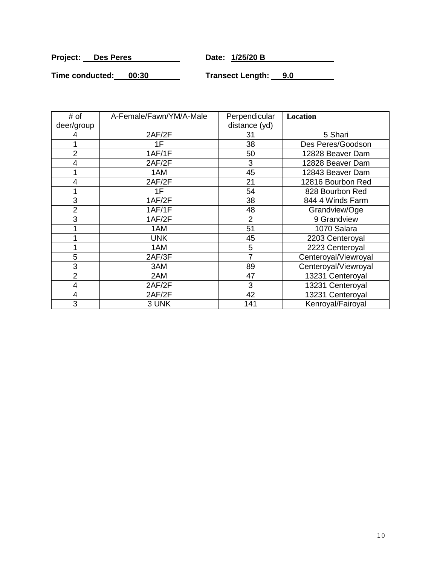**Project:** Des Peres Date: 1/25/20 B

**Time conducted: 00:30 Transect Length: 9.0**

| # of           | A-Female/Fawn/YM/A-Male | Perpendicular  | Location             |
|----------------|-------------------------|----------------|----------------------|
| deer/group     |                         | distance (yd)  |                      |
| 4              | 2AF/2F                  | 31             | 5 Shari              |
|                | 1F                      | 38             | Des Peres/Goodson    |
| 2              | 1AF/1F                  | 50             | 12828 Beaver Dam     |
| 4              | 2AF/2F                  | 3              | 12828 Beaver Dam     |
|                | 1AM                     | 45             | 12843 Beaver Dam     |
| 4              | 2AF/2F                  | 21             | 12816 Bourbon Red    |
|                | 1F                      | 54             | 828 Bourbon Red      |
| 3              | 1AF/2F                  | 38             | 844 4 Winds Farm     |
| $\overline{2}$ | 1AF/1F                  | 48             | Grandview/Oge        |
| 3              | 1AF/2F                  | $\overline{2}$ | 9 Grandview          |
|                | 1AM                     | 51             | 1070 Salara          |
|                | <b>UNK</b>              | 45             | 2203 Centeroyal      |
|                | 1AM                     | 5              | 2223 Centeroyal      |
| 5              | 2AF/3F                  | 7              | Centeroyal/Viewroyal |
| 3              | 3AM                     | 89             | Centeroyal/Viewroyal |
| $\overline{2}$ | 2AM                     | 47             | 13231 Centeroyal     |
| $\overline{4}$ | 2AF/2F                  | 3              | 13231 Centeroyal     |
| 4              | 2AF/2F                  | 42             | 13231 Centeroyal     |
| 3              | 3 UNK                   | 141            | Kenroyal/Fairoyal    |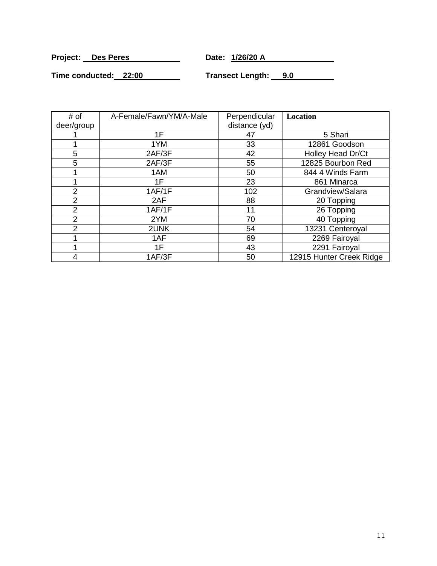**Project:** Des Peres Date: 1/26/20 A

**Time conducted: 22:00 Transect Length: 9.0**

| # of<br>deer/group | A-Female/Fawn/YM/A-Male | Perpendicular<br>distance (yd) | Location                 |
|--------------------|-------------------------|--------------------------------|--------------------------|
|                    | 1F                      | 47                             | 5 Shari                  |
|                    | 1YM                     | 33                             | 12861 Goodson            |
| 5                  | 2AF/3F                  | 42                             | Holley Head Dr/Ct        |
| 5                  | 2AF/3F                  | 55                             | 12825 Bourbon Red        |
|                    | 1AM                     | 50                             | 844 4 Winds Farm         |
|                    | 1F                      | 23                             | 861 Minarca              |
| $\overline{2}$     | 1AF/1F                  | 102                            | Grandview/Salara         |
| 2                  | 2AF                     | 88                             | 20 Topping               |
| 2                  | 1AF/1F                  | 11                             | 26 Topping               |
| 2                  | 2YM                     | 70                             | 40 Topping               |
| 2                  | 2UNK                    | 54                             | 13231 Centeroyal         |
|                    | 1AF                     | 69                             | 2269 Fairoyal            |
|                    | 1F                      | 43                             | 2291 Fairoyal            |
| 4                  | 1AF/3F                  | 50                             | 12915 Hunter Creek Ridge |